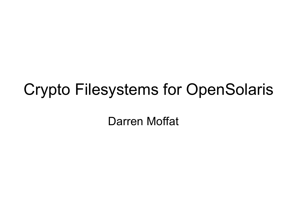#### Crypto Filesystems for OpenSolaris

Darren Moffat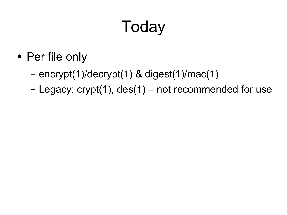# Today

- Per file only
	- encrypt(1)/decrypt(1) & digest(1)/mac(1)
	- Legacy: crypt(1), des(1) not recommended for use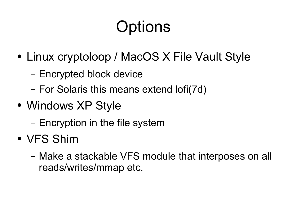# **Options**

- Linux cryptoloop / MacOS X File Vault Style
	- Encrypted block device
	- For Solaris this means extend lofi(7d)
- Windows XP Style
	- Encryption in the file system
- VFS Shim
	- Make a stackable VFS module that interposes on all reads/writes/mmap etc.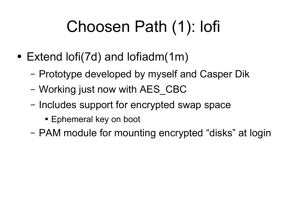### Choosen Path (1): lofi

- Extend lofi(7d) and lofiadm(1m)
	- Prototype developed by myself and Casper Dik
	- Working just now with AES\_CBC
	- Includes support for encrypted swap space
		- Ephemeral key on boot
	- PAM module for mounting encrypted "disks" at login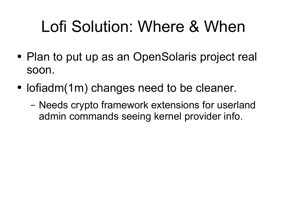### Lofi Solution: Where & When

- Plan to put up as an OpenSolaris project real soon.
- lofiadm(1m) changes need to be cleaner.
	- Needs crypto framework extensions for userland admin commands seeing kernel provider info.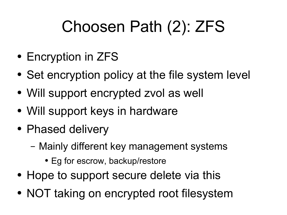# Choosen Path (2): ZFS

- Encryption in ZFS
- Set encryption policy at the file system level
- Will support encrypted zvol as well
- Will support keys in hardware
- Phased delivery
	- Mainly different key management systems
		- Eg for escrow, backup/restore
- Hope to support secure delete via this
- NOT taking on encrypted root filesystem